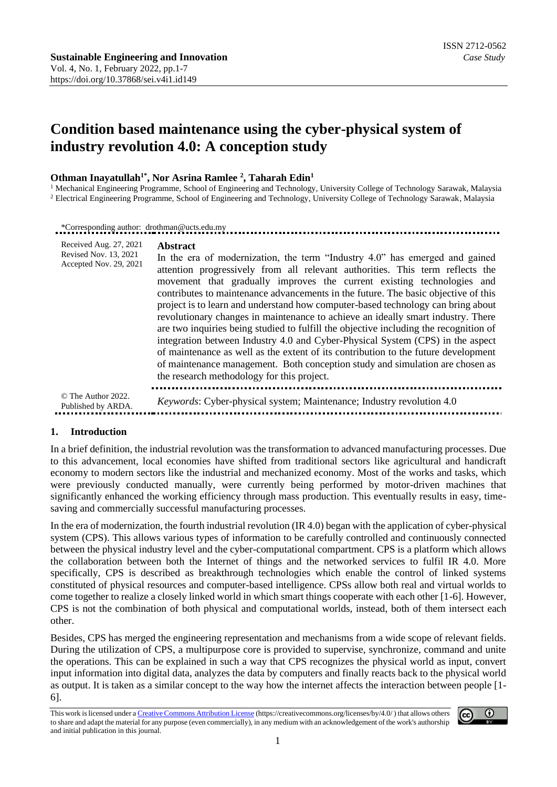# **Condition based maintenance using the cyber-physical system of industry revolution 4.0: A conception study**

# **Othman Inayatullah1\* , Nor Asrina Ramlee <sup>2</sup> , Taharah Edin<sup>1</sup>**

<sup>1</sup> Mechanical Engineering Programme, School of Engineering and Technology, University College of Technology Sarawak, Malaysia <sup>2</sup> Electrical Engineering Programme, School of Engineering and Technology, University College of Technology Sarawak, Malaysia

\*Corresponding author: drothman@ucts.edu.my

| Received Aug. 27, 2021<br>Revised Nov. 13, 2021<br>Accepted Nov. 29, 2021 | <b>Abstract</b><br>In the era of modernization, the term "Industry 4.0" has emerged and gained<br>attention progressively from all relevant authorities. This term reflects the<br>movement that gradually improves the current existing technologies and<br>contributes to maintenance advancements in the future. The basic objective of this<br>project is to learn and understand how computer-based technology can bring about<br>revolutionary changes in maintenance to achieve an ideally smart industry. There<br>are two inquiries being studied to fulfill the objective including the recognition of<br>integration between Industry 4.0 and Cyber-Physical System (CPS) in the aspect<br>of maintenance as well as the extent of its contribution to the future development<br>of maintenance management. Both conception study and simulation are chosen as<br>the research methodology for this project. |
|---------------------------------------------------------------------------|-------------------------------------------------------------------------------------------------------------------------------------------------------------------------------------------------------------------------------------------------------------------------------------------------------------------------------------------------------------------------------------------------------------------------------------------------------------------------------------------------------------------------------------------------------------------------------------------------------------------------------------------------------------------------------------------------------------------------------------------------------------------------------------------------------------------------------------------------------------------------------------------------------------------------|
| © The Author 2022.<br>Published by ARDA.                                  | <i>Keywords:</i> Cyber-physical system; Maintenance; Industry revolution 4.0                                                                                                                                                                                                                                                                                                                                                                                                                                                                                                                                                                                                                                                                                                                                                                                                                                            |

#### **1. Introduction**

In a brief definition, the industrial revolution was the transformation to advanced manufacturing processes. Due to this advancement, local economies have shifted from traditional sectors like agricultural and handicraft economy to modern sectors like the industrial and mechanized economy. Most of the works and tasks, which were previously conducted manually, were currently being performed by motor-driven machines that significantly enhanced the working efficiency through mass production. This eventually results in easy, timesaving and commercially successful manufacturing processes.

In the era of modernization, the fourth industrial revolution (IR 4.0) began with the application of cyber-physical system (CPS). This allows various types of information to be carefully controlled and continuously connected between the physical industry level and the cyber-computational compartment. CPS is a platform which allows the collaboration between both the Internet of things and the networked services to fulfil IR 4.0. More specifically, CPS is described as breakthrough technologies which enable the control of linked systems constituted of physical resources and computer-based intelligence. CPSs allow both real and virtual worlds to come together to realize a closely linked world in which smart things cooperate with each other [1-6]. However, CPS is not the combination of both physical and computational worlds, instead, both of them intersect each other.

Besides, CPS has merged the engineering representation and mechanisms from a wide scope of relevant fields. During the utilization of CPS, a multipurpose core is provided to supervise, synchronize, command and unite the operations. This can be explained in such a way that CPS recognizes the physical world as input, convert input information into digital data, analyzes the data by computers and finally reacts back to the physical world as output. It is taken as a similar concept to the way how the internet affects the interaction between people [1- 6].

This work is licensed under [a Creative Commons Attribution License](https://creativecommons.org/licenses/by/4.0/) (https://creativecommons.org/licenses/by/4.0/ ) that allows others to share and adapt the material for any purpose (even commercially), in any medium with an acknowledgement of the work's authorship and initial publication in this journal.

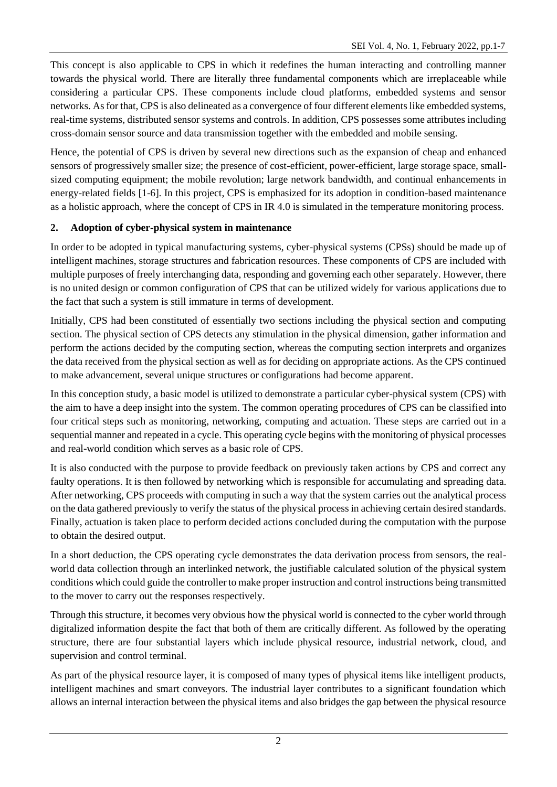This concept is also applicable to CPS in which it redefines the human interacting and controlling manner towards the physical world. There are literally three fundamental components which are irreplaceable while considering a particular CPS. These components include cloud platforms, embedded systems and sensor networks. As for that, CPS is also delineated as a convergence of four different elements like embedded systems, real-time systems, distributed sensor systems and controls. In addition, CPS possesses some attributes including cross-domain sensor source and data transmission together with the embedded and mobile sensing.

Hence, the potential of CPS is driven by several new directions such as the expansion of cheap and enhanced sensors of progressively smaller size; the presence of cost-efficient, power-efficient, large storage space, smallsized computing equipment; the mobile revolution; large network bandwidth, and continual enhancements in energy-related fields [1-6]. In this project, CPS is emphasized for its adoption in condition-based maintenance as a holistic approach, where the concept of CPS in IR 4.0 is simulated in the temperature monitoring process.

# **2. Adoption of cyber-physical system in maintenance**

In order to be adopted in typical manufacturing systems, cyber-physical systems (CPSs) should be made up of intelligent machines, storage structures and fabrication resources. These components of CPS are included with multiple purposes of freely interchanging data, responding and governing each other separately. However, there is no united design or common configuration of CPS that can be utilized widely for various applications due to the fact that such a system is still immature in terms of development.

Initially, CPS had been constituted of essentially two sections including the physical section and computing section. The physical section of CPS detects any stimulation in the physical dimension, gather information and perform the actions decided by the computing section, whereas the computing section interprets and organizes the data received from the physical section as well as for deciding on appropriate actions. As the CPS continued to make advancement, several unique structures or configurations had become apparent.

In this conception study, a basic model is utilized to demonstrate a particular cyber-physical system (CPS) with the aim to have a deep insight into the system. The common operating procedures of CPS can be classified into four critical steps such as monitoring, networking, computing and actuation. These steps are carried out in a sequential manner and repeated in a cycle. This operating cycle begins with the monitoring of physical processes and real-world condition which serves as a basic role of CPS.

It is also conducted with the purpose to provide feedback on previously taken actions by CPS and correct any faulty operations. It is then followed by networking which is responsible for accumulating and spreading data. After networking, CPS proceeds with computing in such a way that the system carries out the analytical process on the data gathered previously to verify the status of the physical process in achieving certain desired standards. Finally, actuation is taken place to perform decided actions concluded during the computation with the purpose to obtain the desired output.

In a short deduction, the CPS operating cycle demonstrates the data derivation process from sensors, the realworld data collection through an interlinked network, the justifiable calculated solution of the physical system conditions which could guide the controller to make proper instruction and control instructions being transmitted to the mover to carry out the responses respectively.

Through this structure, it becomes very obvious how the physical world is connected to the cyber world through digitalized information despite the fact that both of them are critically different. As followed by the operating structure, there are four substantial layers which include physical resource, industrial network, cloud, and supervision and control terminal.

As part of the physical resource layer, it is composed of many types of physical items like intelligent products, intelligent machines and smart conveyors. The industrial layer contributes to a significant foundation which allows an internal interaction between the physical items and also bridges the gap between the physical resource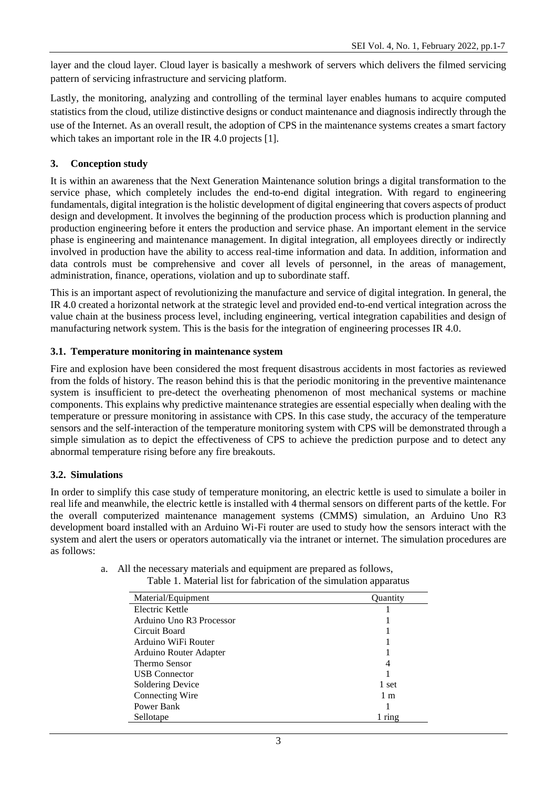layer and the cloud layer. Cloud layer is basically a meshwork of servers which delivers the filmed servicing pattern of servicing infrastructure and servicing platform.

Lastly, the monitoring, analyzing and controlling of the terminal layer enables humans to acquire computed statistics from the cloud, utilize distinctive designs or conduct maintenance and diagnosis indirectly through the use of the Internet. As an overall result, the adoption of CPS in the maintenance systems creates a smart factory which takes an important role in the IR 4.0 projects [1].

# **3. Conception study**

It is within an awareness that the Next Generation Maintenance solution brings a digital transformation to the service phase, which completely includes the end-to-end digital integration. With regard to engineering fundamentals, digital integration is the holistic development of digital engineering that covers aspects of product design and development. It involves the beginning of the production process which is production planning and production engineering before it enters the production and service phase. An important element in the service phase is engineering and maintenance management. In digital integration, all employees directly or indirectly involved in production have the ability to access real-time information and data. In addition, information and data controls must be comprehensive and cover all levels of personnel, in the areas of management, administration, finance, operations, violation and up to subordinate staff.

This is an important aspect of revolutionizing the manufacture and service of digital integration. In general, the IR 4.0 created a horizontal network at the strategic level and provided end-to-end vertical integration across the value chain at the business process level, including engineering, vertical integration capabilities and design of manufacturing network system. This is the basis for the integration of engineering processes IR 4.0.

# **3.1. Temperature monitoring in maintenance system**

Fire and explosion have been considered the most frequent disastrous accidents in most factories as reviewed from the folds of history. The reason behind this is that the periodic monitoring in the preventive maintenance system is insufficient to pre-detect the overheating phenomenon of most mechanical systems or machine components. This explains why predictive maintenance strategies are essential especially when dealing with the temperature or pressure monitoring in assistance with CPS. In this case study, the accuracy of the temperature sensors and the self-interaction of the temperature monitoring system with CPS will be demonstrated through a simple simulation as to depict the effectiveness of CPS to achieve the prediction purpose and to detect any abnormal temperature rising before any fire breakouts.

# **3.2. Simulations**

In order to simplify this case study of temperature monitoring, an electric kettle is used to simulate a boiler in real life and meanwhile, the electric kettle is installed with 4 thermal sensors on different parts of the kettle. For the overall computerized maintenance management systems (CMMS) simulation, an Arduino Uno R3 development board installed with an Arduino Wi-Fi router are used to study how the sensors interact with the system and alert the users or operators automatically via the intranet or internet. The simulation procedures are as follows:

a. All the necessary materials and equipment are prepared as follows,

| Material/Equipment       | Ouantity       |
|--------------------------|----------------|
| Electric Kettle          |                |
| Arduino Uno R3 Processor |                |
| Circuit Board            |                |
| Arduino WiFi Router      |                |
| Arduino Router Adapter   |                |
| Thermo Sensor            |                |
| <b>USB</b> Connector     |                |
| Soldering Device         | 1 set          |
| Connecting Wire          | 1 <sub>m</sub> |
| Power Bank               |                |
| Sellotape                | ring           |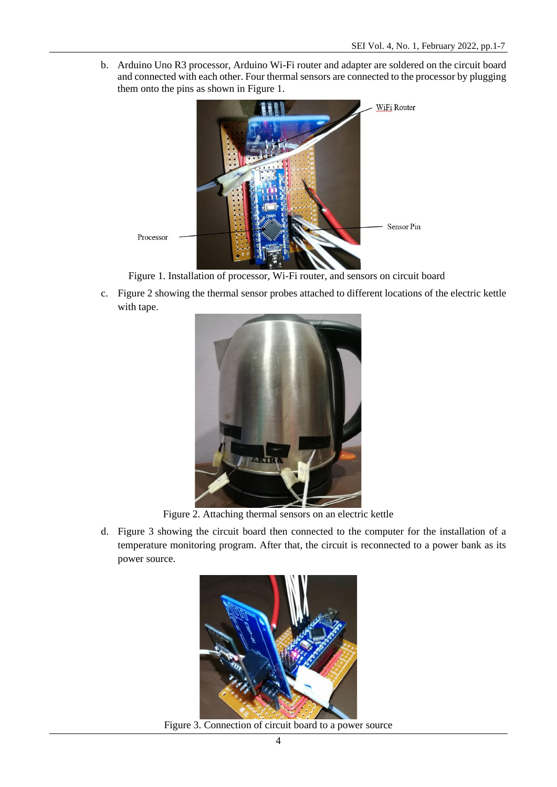b. Arduino Uno R3 processor, Arduino Wi-Fi router and adapter are soldered on the circuit board and connected with each other. Four thermal sensors are connected to the processor by plugging them onto the pins as shown in Figure 1.



Figure 1. Installation of processor, Wi-Fi router, and sensors on circuit board

c. Figure 2 showing the thermal sensor probes attached to different locations of the electric kettle with tape.



Figure 2. Attaching thermal sensors on an electric kettle

d. Figure 3 showing the circuit board then connected to the computer for the installation of a temperature monitoring program. After that, the circuit is reconnected to a power bank as its power source.



Figure 3. Connection of circuit board to a power source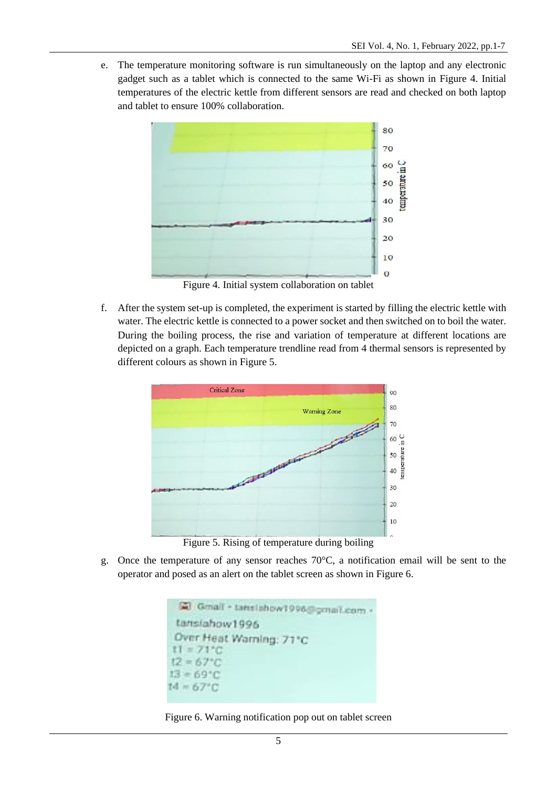e. The temperature monitoring software is run simultaneously on the laptop and any electronic gadget such as a tablet which is connected to the same Wi-Fi as shown in Figure 4. Initial temperatures of the electric kettle from different sensors are read and checked on both laptop and tablet to ensure 100% collaboration.



Figure 4. Initial system collaboration on tablet

f. After the system set-up is completed, the experiment is started by filling the electric kettle with water. The electric kettle is connected to a power socket and then switched on to boil the water. During the boiling process, the rise and variation of temperature at different locations are depicted on a graph. Each temperature trendline read from 4 thermal sensors is represented by different colours as shown in Figure 5.



Figure 5. Rising of temperature during boiling

g. Once the temperature of any sensor reaches 70°C, a notification email will be sent to the operator and posed as an alert on the tablet screen as shown in Figure 6.

```
@ Gmall + tanslahow1996@gmail.com
 tansiahow1996
 Over Heat Warning: 71°C
t1 = 71^{\circ}C12 - 67^{\circ}C
13 = 69^{\circ}C14 = 67^{\circ}C
```
#### Figure 6. Warning notification pop out on tablet screen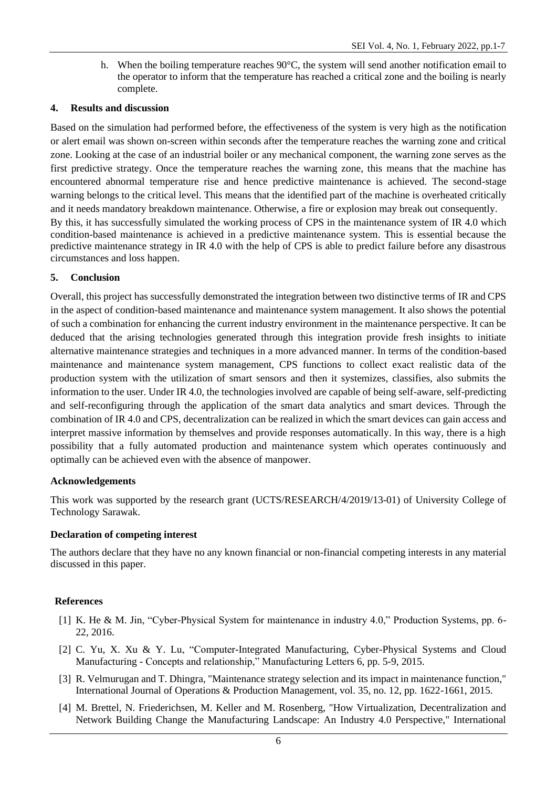h. When the boiling temperature reaches 90°C, the system will send another notification email to the operator to inform that the temperature has reached a critical zone and the boiling is nearly complete.

### **4. Results and discussion**

Based on the simulation had performed before, the effectiveness of the system is very high as the notification or alert email was shown on-screen within seconds after the temperature reaches the warning zone and critical zone. Looking at the case of an industrial boiler or any mechanical component, the warning zone serves as the first predictive strategy. Once the temperature reaches the warning zone, this means that the machine has encountered abnormal temperature rise and hence predictive maintenance is achieved. The second-stage warning belongs to the critical level. This means that the identified part of the machine is overheated critically and it needs mandatory breakdown maintenance. Otherwise, a fire or explosion may break out consequently. By this, it has successfully simulated the working process of CPS in the maintenance system of IR 4.0 which condition-based maintenance is achieved in a predictive maintenance system. This is essential because the predictive maintenance strategy in IR 4.0 with the help of CPS is able to predict failure before any disastrous circumstances and loss happen.

# **5. Conclusion**

Overall, this project has successfully demonstrated the integration between two distinctive terms of IR and CPS in the aspect of condition-based maintenance and maintenance system management. It also shows the potential of such a combination for enhancing the current industry environment in the maintenance perspective. It can be deduced that the arising technologies generated through this integration provide fresh insights to initiate alternative maintenance strategies and techniques in a more advanced manner. In terms of the condition-based maintenance and maintenance system management, CPS functions to collect exact realistic data of the production system with the utilization of smart sensors and then it systemizes, classifies, also submits the information to the user. Under IR 4.0, the technologies involved are capable of being self-aware, self-predicting and self-reconfiguring through the application of the smart data analytics and smart devices. Through the combination of IR 4.0 and CPS, decentralization can be realized in which the smart devices can gain access and interpret massive information by themselves and provide responses automatically. In this way, there is a high possibility that a fully automated production and maintenance system which operates continuously and optimally can be achieved even with the absence of manpower.

#### **Acknowledgements**

This work was supported by the research grant (UCTS/RESEARCH/4/2019/13-01) of University College of Technology Sarawak.

#### **Declaration of competing interest**

The authors declare that they have no any known financial or non-financial competing interests in any material discussed in this paper.

#### **References**

- [1] K. He & M. Jin, "Cyber-Physical System for maintenance in industry 4.0," Production Systems, pp. 6- 22, 2016.
- [2] C. Yu, X. Xu & Y. Lu, "Computer-Integrated Manufacturing, Cyber-Physical Systems and Cloud Manufacturing - Concepts and relationship," Manufacturing Letters 6, pp. 5-9, 2015.
- [3] R. Velmurugan and T. Dhingra, "Maintenance strategy selection and its impact in maintenance function," International Journal of Operations & Production Management, vol. 35, no. 12, pp. 1622-1661, 2015.
- [4] M. Brettel, N. Friederichsen, M. Keller and M. Rosenberg, "How Virtualization, Decentralization and Network Building Change the Manufacturing Landscape: An Industry 4.0 Perspective," International